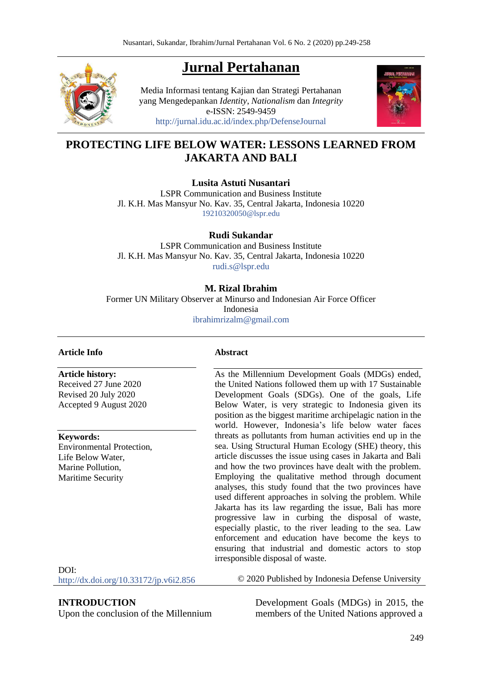# **Jurnal Pertahanan**



Media Informasi tentang Kajian dan Strategi Pertahanan yang Mengedepankan *Identity*, *Nationalism* dan *Integrity* e-ISSN: 2549-9459 <http://jurnal.idu.ac.id/index.php/DefenseJournal>



## **PROTECTING LIFE BELOW WATER: LESSONS LEARNED FROM JAKARTA AND BALI**

**Lusita Astuti Nusantari**

LSPR Communication and Business Institute Jl. K.H. Mas Mansyur No. Kav. 35, Central Jakarta, Indonesia 10220 [19210320050@lspr.edu](mailto:19210320050@lspr.edu)

**Rudi Sukandar**

LSPR Communication and Business Institute Jl. K.H. Mas Mansyur No. Kav. 35, Central Jakarta, Indonesia 10220 [rudi.s@lspr.edu](mailto:rudi.s@lspr.edu)

#### **M. Rizal Ibrahim**

Former UN Military Observer at Minurso and Indonesian Air Force Officer Indonesia [ibrahimrizalm@gmail.com](mailto:ibrahimrizalm@gmail.com)

#### **Article Info**

**Article history:** 

Received 27 June 2020 Revised 20 July 2020 Accepted 9 August 2020

**Keywords:**

Environmental Protection, Life Below Water, Marine Pollution, Maritime Security

#### **Abstract**

As the Millennium Development Goals (MDGs) ended, the United Nations followed them up with 17 Sustainable Development Goals (SDGs). One of the goals, Life Below Water, is very strategic to Indonesia given its position as the biggest maritime archipelagic nation in the world. However, Indonesia's life below water faces threats as pollutants from human activities end up in the sea. Using Structural Human Ecology (SHE) theory, this article discusses the issue using cases in Jakarta and Bali and how the two provinces have dealt with the problem. Employing the qualitative method through document analyses, this study found that the two provinces have used different approaches in solving the problem. While Jakarta has its law regarding the issue, Bali has more progressive law in curbing the disposal of waste, especially plastic, to the river leading to the sea. Law enforcement and education have become the keys to ensuring that industrial and domestic actors to stop irresponsible disposal of waste.

DOI: <http://dx.doi.org/10.33172/jp.v6i2.856>

© 2020 Published by Indonesia Defense University

**INTRODUCTION**

Upon the conclusion of the Millennium

Development Goals (MDGs) in 2015, the members of the United Nations approved a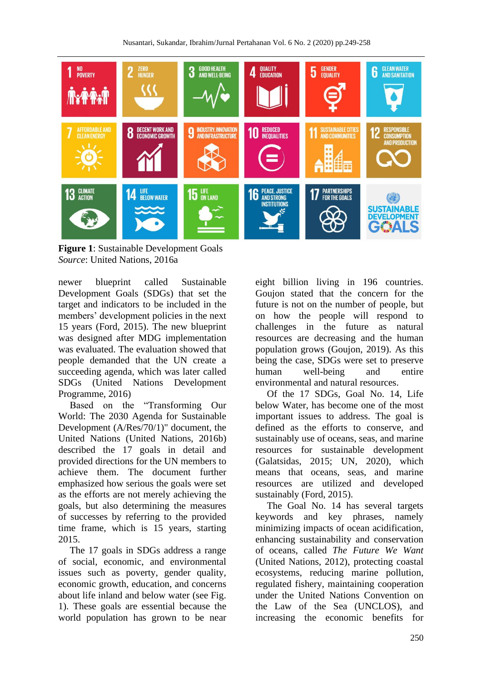

**Figure 1**: Sustainable Development Goals *Source*: United Nations, 2016a

newer blueprint called Sustainable Development Goals (SDGs) that set the target and indicators to be included in the members' development policies in the next 15 years (Ford, 2015). The new blueprint was designed after MDG implementation was evaluated. The evaluation showed that people demanded that the UN create a succeeding agenda, which was later called SDGs (United Nations Development Programme, 2016)

Based on the "Transforming Our World: The 2030 Agenda for Sustainable Development (A/Res/70/1)" document, the United Nations (United Nations, 2016b) described the 17 goals in detail and provided directions for the UN members to achieve them. The document further emphasized how serious the goals were set as the efforts are not merely achieving the goals, but also determining the measures of successes by referring to the provided time frame, which is 15 years, starting 2015.

The 17 goals in SDGs address a range of social, economic, and environmental issues such as poverty, gender quality, economic growth, education, and concerns about life inland and below water (see Fig. 1). These goals are essential because the world population has grown to be near

eight billion living in 196 countries. Goujon stated that the concern for the future is not on the number of people, but on how the people will respond to challenges in the future as natural resources are decreasing and the human population grows (Goujon, 2019). As this being the case, SDGs were set to preserve human well-being and entire environmental and natural resources.

Of the 17 SDGs, Goal No. 14, Life below Water, has become one of the most important issues to address. The goal is defined as the efforts to conserve, and sustainably use of oceans, seas, and marine resources for sustainable development (Galatsidas, 2015; UN, 2020), which means that oceans, seas, and marine resources are utilized and developed sustainably (Ford, 2015).

The Goal No. 14 has several targets keywords and key phrases, namely minimizing impacts of ocean acidification, enhancing sustainability and conservation of oceans, called *The Future We Want* (United Nations, 2012), protecting coastal ecosystems, reducing marine pollution, regulated fishery, maintaining cooperation under the United Nations Convention on the Law of the Sea (UNCLOS), and increasing the economic benefits for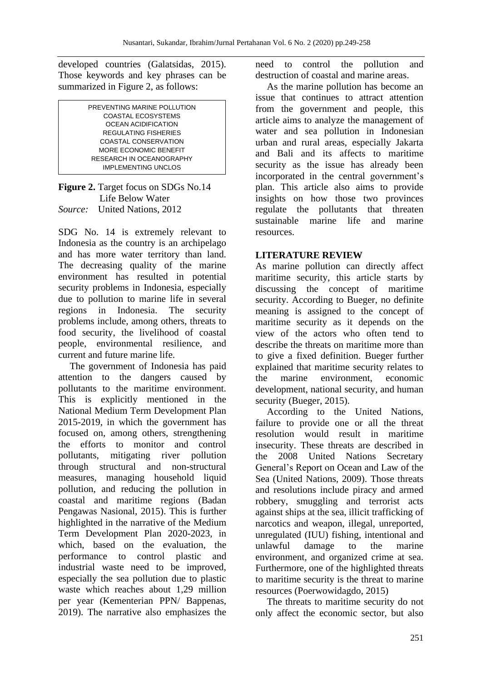developed countries (Galatsidas, 2015). Those keywords and key phrases can be summarized in Figure 2, as follows:

| PREVENTING MARINE POLLUTION |
|-----------------------------|
| COASTAL ECOSYSTEMS          |
| <b>OCEAN ACIDIFICATION</b>  |
| <b>REGULATING FISHERIES</b> |
| COASTAL CONSERVATION        |
| MORE FCONOMIC BENEFIT       |
| RESEARCH IN OCEANOGRAPHY    |
| <b>IMPLEMENTING UNCLOS</b>  |

**Figure 2.** Target focus on SDGs No.14 Life Below Water *Source:* United Nations, 2012

SDG No. 14 is extremely relevant to Indonesia as the country is an archipelago and has more water territory than land. The decreasing quality of the marine environment has resulted in potential security problems in Indonesia, especially due to pollution to marine life in several regions in Indonesia. The security problems include, among others, threats to food security, the livelihood of coastal people, environmental resilience, and current and future marine life.

The government of Indonesia has paid attention to the dangers caused by pollutants to the maritime environment. This is explicitly mentioned in the National Medium Term Development Plan 2015-2019, in which the government has focused on, among others, strengthening the efforts to monitor and control pollutants, mitigating river pollution through structural and non-structural measures, managing household liquid pollution, and reducing the pollution in coastal and maritime regions (Badan Pengawas Nasional, 2015). This is further highlighted in the narrative of the Medium Term Development Plan 2020-2023, in which, based on the evaluation, the performance to control plastic and industrial waste need to be improved, especially the sea pollution due to plastic waste which reaches about 1,29 million per year (Kementerian PPN/ Bappenas, 2019). The narrative also emphasizes the need to control the pollution and destruction of coastal and marine areas.

As the marine pollution has become an issue that continues to attract attention from the government and people, this article aims to analyze the management of water and sea pollution in Indonesian urban and rural areas, especially Jakarta and Bali and its affects to maritime security as the issue has already been incorporated in the central government's plan. This article also aims to provide insights on how those two provinces regulate the pollutants that threaten sustainable marine life and marine resources.

### **LITERATURE REVIEW**

As marine pollution can directly affect maritime security, this article starts by discussing the concept of maritime security. According to Bueger, no definite meaning is assigned to the concept of maritime security as it depends on the view of the actors who often tend to describe the threats on maritime more than to give a fixed definition. Bueger further explained that maritime security relates to the marine environment, economic development, national security, and human security (Bueger, 2015).

According to the United Nations, failure to provide one or all the threat resolution would result in maritime insecurity. These threats are described in the 2008 United Nations Secretary General's Report on Ocean and Law of the Sea (United Nations, 2009). Those threats and resolutions include piracy and armed robbery, smuggling and terrorist acts against ships at the sea, illicit trafficking of narcotics and weapon, illegal, unreported, unregulated (IUU) fishing, intentional and unlawful damage to the marine environment, and organized crime at sea. Furthermore, one of the highlighted threats to maritime security is the threat to marine resources (Poerwowidagdo, 2015)

The threats to maritime security do not only affect the economic sector, but also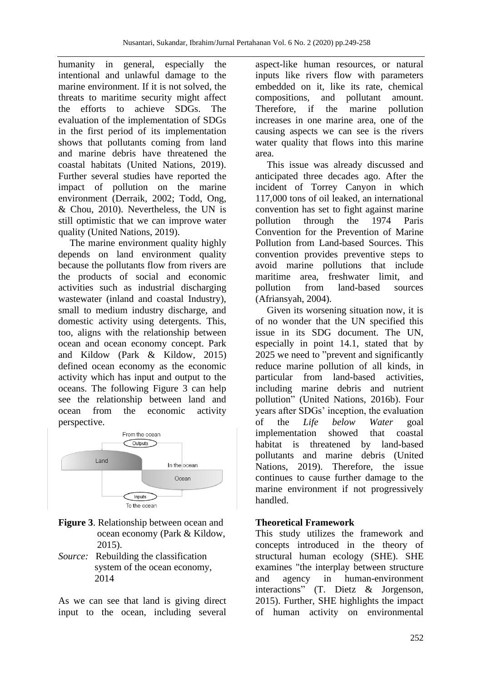humanity in general, especially the intentional and unlawful damage to the marine environment. If it is not solved, the threats to maritime security might affect the efforts to achieve SDGs. The evaluation of the implementation of SDGs in the first period of its implementation shows that pollutants coming from land and marine debris have threatened the coastal habitats (United Nations, 2019). Further several studies have reported the impact of pollution on the marine environment (Derraik, 2002; Todd, Ong, & Chou, 2010). Nevertheless, the UN is still optimistic that we can improve water quality (United Nations, 2019).

The marine environment quality highly depends on land environment quality because the pollutants flow from rivers are the products of social and economic activities such as industrial discharging wastewater (inland and coastal Industry), small to medium industry discharge, and domestic activity using detergents. This, too, aligns with the relationship between ocean and ocean economy concept. Park and Kildow (Park & Kildow, 2015) defined ocean economy as the economic activity which has input and output to the oceans. The following Figure 3 can help see the relationship between land and ocean from the economic activity perspective.



- **Figure 3**. Relationship between ocean and ocean economy (Park & Kildow, 2015).
- *Source:* Rebuilding the classification system of the ocean economy, 2014

As we can see that land is giving direct input to the ocean, including several aspect-like human resources, or natural inputs like rivers flow with parameters embedded on it, like its rate, chemical compositions, and pollutant amount. Therefore, if the marine pollution increases in one marine area, one of the causing aspects we can see is the rivers water quality that flows into this marine area.

This issue was already discussed and anticipated three decades ago. After the incident of Torrey Canyon in which 117,000 tons of oil leaked, an international convention has set to fight against marine pollution through the 1974 Paris Convention for the Prevention of Marine Pollution from Land-based Sources. This convention provides preventive steps to avoid marine pollutions that include maritime area, freshwater limit, and pollution from land-based sources (Afriansyah, 2004).

Given its worsening situation now, it is of no wonder that the UN specified this issue in its SDG document. The UN, especially in point 14.1, stated that by 2025 we need to "prevent and significantly reduce marine pollution of all kinds, in particular from land-based activities, including marine debris and nutrient pollution" (United Nations, 2016b). Four years after SDGs' inception, the evaluation of the *Life below Water* goal implementation showed that coastal habitat is threatened by land-based pollutants and marine debris (United Nations, 2019). Therefore, the issue continues to cause further damage to the marine environment if not progressively handled.

### **Theoretical Framework**

This study utilizes the framework and concepts introduced in the theory of structural human ecology (SHE). SHE examines "the interplay between structure and agency in human-environment interactions" (T. Dietz & Jorgenson, 2015). Further, SHE highlights the impact of human activity on environmental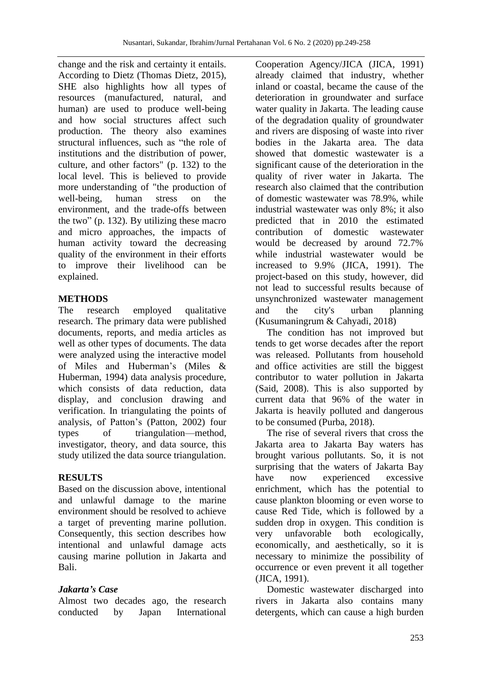change and the risk and certainty it entails. According to Dietz (Thomas Dietz, 2015), SHE also highlights how all types of resources (manufactured, natural, and human) are used to produce well-being and how social structures affect such production. The theory also examines structural influences, such as "the role of institutions and the distribution of power, culture, and other factors" (p. 132) to the local level. This is believed to provide more understanding of "the production of well-being, human stress on the environment, and the trade-offs between the two" (p. 132). By utilizing these macro and micro approaches, the impacts of human activity toward the decreasing quality of the environment in their efforts to improve their livelihood can be explained.

### **METHODS**

The research employed qualitative research. The primary data were published documents, reports, and media articles as well as other types of documents. The data were analyzed using the interactive model of Miles and Huberman's (Miles & Huberman, 1994) data analysis procedure, which consists of data reduction, data display, and conclusion drawing and verification. In triangulating the points of analysis, of Patton's (Patton, 2002) four types of triangulation—method, investigator, theory, and data source, this study utilized the data source triangulation.

### **RESULTS**

Based on the discussion above, intentional and unlawful damage to the marine environment should be resolved to achieve a target of preventing marine pollution. Consequently, this section describes how intentional and unlawful damage acts causing marine pollution in Jakarta and Bali.

#### *Jakarta's Case*

Almost two decades ago, the research conducted by Japan International

Cooperation Agency/JICA (JICA, 1991) already claimed that industry, whether inland or coastal, became the cause of the deterioration in groundwater and surface water quality in Jakarta. The leading cause of the degradation quality of groundwater and rivers are disposing of waste into river bodies in the Jakarta area. The data showed that domestic wastewater is a significant cause of the deterioration in the quality of river water in Jakarta. The research also claimed that the contribution of domestic wastewater was 78.9%, while industrial wastewater was only 8%; it also predicted that in 2010 the estimated contribution of domestic wastewater would be decreased by around 72.7% while industrial wastewater would be increased to 9.9% (JICA, 1991). The project-based on this study, however, did not lead to successful results because of unsynchronized wastewater management and the city's urban planning (Kusumaningrum & Cahyadi, 2018)

The condition has not improved but tends to get worse decades after the report was released. Pollutants from household and office activities are still the biggest contributor to water pollution in Jakarta (Said, 2008). This is also supported by current data that 96% of the water in Jakarta is heavily polluted and dangerous to be consumed (Purba, 2018).

The rise of several rivers that cross the Jakarta area to Jakarta Bay waters has brought various pollutants. So, it is not surprising that the waters of Jakarta Bay have now experienced excessive enrichment, which has the potential to cause plankton blooming or even worse to cause Red Tide, which is followed by a sudden drop in oxygen. This condition is very unfavorable both ecologically, economically, and aesthetically, so it is necessary to minimize the possibility of occurrence or even prevent it all together (JICA, 1991).

Domestic wastewater discharged into rivers in Jakarta also contains many detergents, which can cause a high burden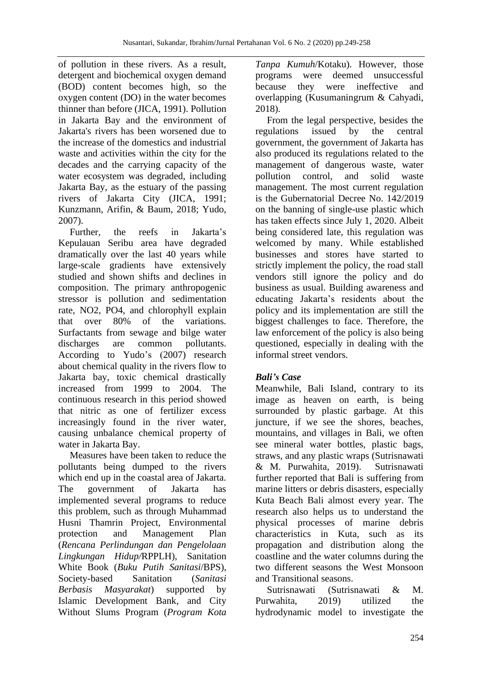of pollution in these rivers. As a result, detergent and biochemical oxygen demand (BOD) content becomes high, so the oxygen content (DO) in the water becomes thinner than before (JICA, 1991). Pollution in Jakarta Bay and the environment of Jakarta's rivers has been worsened due to the increase of the domestics and industrial waste and activities within the city for the decades and the carrying capacity of the water ecosystem was degraded, including Jakarta Bay, as the estuary of the passing rivers of Jakarta City (JICA, 1991; Kunzmann, Arifin, & Baum, 2018; Yudo, 2007).

Further, the reefs in Jakarta's Kepulauan Seribu area have degraded dramatically over the last 40 years while large-scale gradients have extensively studied and shown shifts and declines in composition. The primary anthropogenic stressor is pollution and sedimentation rate, NO2, PO4, and chlorophyll explain that over 80% of the variations. Surfactants from sewage and bilge water discharges are common pollutants. According to Yudo's (2007) research about chemical quality in the rivers flow to Jakarta bay, toxic chemical drastically increased from 1999 to 2004. The continuous research in this period showed that nitric as one of fertilizer excess increasingly found in the river water, causing unbalance chemical property of water in Jakarta Bay.

Measures have been taken to reduce the pollutants being dumped to the rivers which end up in the coastal area of Jakarta. The government of Jakarta has implemented several programs to reduce this problem, such as through Muhammad Husni Thamrin Project, Environmental protection and Management Plan (*Rencana Perlindungan dan Pengelolaan Lingkungan Hidup/*RPPLH), Sanitation White Book (*Buku Putih Sanitasi*/BPS), Society-based Sanitation (*Sanitasi Berbasis Masyarakat*) supported by Islamic Development Bank, and City Without Slums Program (*Program Kota*  *Tanpa Kumuh*/Kotaku). However, those programs were deemed unsuccessful because they were ineffective and overlapping (Kusumaningrum & Cahyadi, 2018).

From the legal perspective, besides the regulations issued by the central government, the government of Jakarta has also produced its regulations related to the management of dangerous waste, water pollution control, and solid waste management. The most current regulation is the Gubernatorial Decree No. 142/2019 on the banning of single-use plastic which has taken effects since July 1, 2020. Albeit being considered late, this regulation was welcomed by many. While established businesses and stores have started to strictly implement the policy, the road stall vendors still ignore the policy and do business as usual. Building awareness and educating Jakarta's residents about the policy and its implementation are still the biggest challenges to face. Therefore, the law enforcement of the policy is also being questioned, especially in dealing with the informal street vendors.

# *Bali's Case*

Meanwhile, Bali Island, contrary to its image as heaven on earth, is being surrounded by plastic garbage. At this juncture, if we see the shores, beaches, mountains, and villages in Bali, we often see mineral water bottles, plastic bags, straws, and any plastic wraps (Sutrisnawati & M. Purwahita, 2019). Sutrisnawati further reported that Bali is suffering from marine litters or debris disasters, especially Kuta Beach Bali almost every year. The research also helps us to understand the physical processes of marine debris characteristics in Kuta, such as its propagation and distribution along the coastline and the water columns during the two different seasons the West Monsoon and Transitional seasons.

Sutrisnawati (Sutrisnawati & M. Purwahita, 2019) utilized the hydrodynamic model to investigate the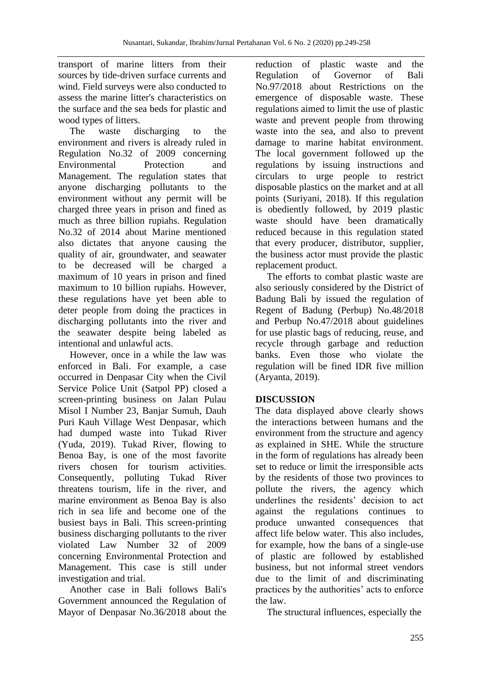transport of marine litters from their sources by tide-driven surface currents and wind. Field surveys were also conducted to assess the marine litter's characteristics on the surface and the sea beds for plastic and wood types of litters.

The waste discharging to the environment and rivers is already ruled in Regulation No.32 of 2009 concerning Environmental Protection and Management. The regulation states that anyone discharging pollutants to the environment without any permit will be charged three years in prison and fined as much as three billion rupiahs. Regulation No.32 of 2014 about Marine mentioned also dictates that anyone causing the quality of air, groundwater, and seawater to be decreased will be charged a maximum of 10 years in prison and fined maximum to 10 billion rupiahs. However, these regulations have yet been able to deter people from doing the practices in discharging pollutants into the river and the seawater despite being labeled as intentional and unlawful acts.

However, once in a while the law was enforced in Bali. For example, a case occurred in Denpasar City when the Civil Service Police Unit (Satpol PP) closed a screen-printing business on Jalan Pulau Misol I Number 23, Banjar Sumuh, Dauh Puri Kauh Village West Denpasar, which had dumped waste into Tukad River (Yuda, 2019). Tukad River, flowing to Benoa Bay, is one of the most favorite rivers chosen for tourism activities. Consequently, polluting Tukad River threatens tourism, life in the river, and marine environment as Benoa Bay is also rich in sea life and become one of the busiest bays in Bali. This screen-printing business discharging pollutants to the river violated Law Number 32 of 2009 concerning Environmental Protection and Management. This case is still under investigation and trial.

Another case in Bali follows Bali's Government announced the Regulation of Mayor of Denpasar No.36/2018 about the reduction of plastic waste and the Regulation of Governor of Bali No.97/2018 about Restrictions on the emergence of disposable waste. These regulations aimed to limit the use of plastic waste and prevent people from throwing waste into the sea, and also to prevent damage to marine habitat environment. The local government followed up the regulations by issuing instructions and circulars to urge people to restrict disposable plastics on the market and at all points (Suriyani, 2018). If this regulation is obediently followed, by 2019 plastic waste should have been dramatically reduced because in this regulation stated that every producer, distributor, supplier, the business actor must provide the plastic replacement product.

The efforts to combat plastic waste are also seriously considered by the District of Badung Bali by issued the regulation of Regent of Badung (Perbup) No.48/2018 and Perbup No.47/2018 about guidelines for use plastic bags of reducing, reuse, and recycle through garbage and reduction banks. Even those who violate the regulation will be fined IDR five million (Aryanta, 2019).

### **DISCUSSION**

The data displayed above clearly shows the interactions between humans and the environment from the structure and agency as explained in SHE. While the structure in the form of regulations has already been set to reduce or limit the irresponsible acts by the residents of those two provinces to pollute the rivers, the agency which underlines the residents' decision to act against the regulations continues to produce unwanted consequences that affect life below water. This also includes, for example, how the bans of a single-use of plastic are followed by established business, but not informal street vendors due to the limit of and discriminating practices by the authorities' acts to enforce the law.

The structural influences, especially the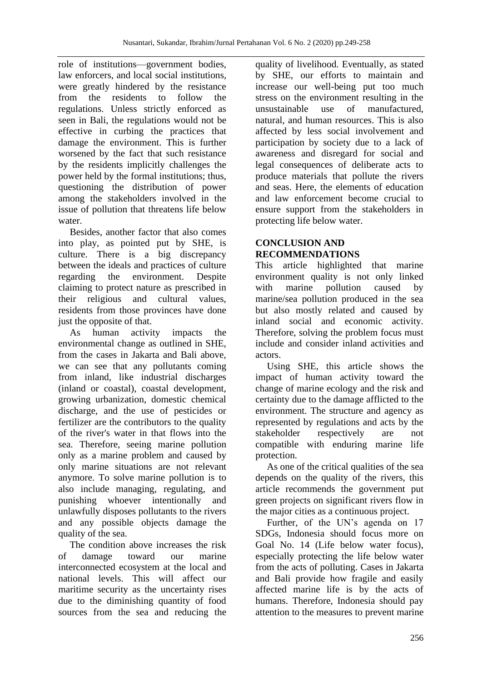role of institutions—government bodies, law enforcers, and local social institutions, were greatly hindered by the resistance from the residents to follow the regulations. Unless strictly enforced as seen in Bali, the regulations would not be effective in curbing the practices that damage the environment. This is further worsened by the fact that such resistance by the residents implicitly challenges the power held by the formal institutions; thus, questioning the distribution of power among the stakeholders involved in the issue of pollution that threatens life below water.

Besides, another factor that also comes into play, as pointed put by SHE, is culture. There is a big discrepancy between the ideals and practices of culture regarding the environment. Despite claiming to protect nature as prescribed in their religious and cultural values, residents from those provinces have done just the opposite of that.

As human activity impacts the environmental change as outlined in SHE, from the cases in Jakarta and Bali above, we can see that any pollutants coming from inland, like industrial discharges (inland or coastal), coastal development, growing urbanization, domestic chemical discharge, and the use of pesticides or fertilizer are the contributors to the quality of the river's water in that flows into the sea. Therefore, seeing marine pollution only as a marine problem and caused by only marine situations are not relevant anymore. To solve marine pollution is to also include managing, regulating, and punishing whoever intentionally and unlawfully disposes pollutants to the rivers and any possible objects damage the quality of the sea.

The condition above increases the risk of damage toward our marine interconnected ecosystem at the local and national levels. This will affect our maritime security as the uncertainty rises due to the diminishing quantity of food sources from the sea and reducing the

quality of livelihood. Eventually, as stated by SHE, our efforts to maintain and increase our well-being put too much stress on the environment resulting in the unsustainable use of manufactured, natural, and human resources. This is also affected by less social involvement and participation by society due to a lack of awareness and disregard for social and legal consequences of deliberate acts to produce materials that pollute the rivers and seas. Here, the elements of education and law enforcement become crucial to ensure support from the stakeholders in protecting life below water.

### **CONCLUSION AND RECOMMENDATIONS**

This article highlighted that marine environment quality is not only linked with marine pollution caused by marine/sea pollution produced in the sea but also mostly related and caused by inland social and economic activity. Therefore, solving the problem focus must include and consider inland activities and actors.

Using SHE, this article shows the impact of human activity toward the change of marine ecology and the risk and certainty due to the damage afflicted to the environment. The structure and agency as represented by regulations and acts by the stakeholder respectively are not compatible with enduring marine life protection.

As one of the critical qualities of the sea depends on the quality of the rivers, this article recommends the government put green projects on significant rivers flow in the major cities as a continuous project.

Further, of the UN's agenda on 17 SDGs, Indonesia should focus more on Goal No. 14 (Life below water focus), especially protecting the life below water from the acts of polluting. Cases in Jakarta and Bali provide how fragile and easily affected marine life is by the acts of humans. Therefore, Indonesia should pay attention to the measures to prevent marine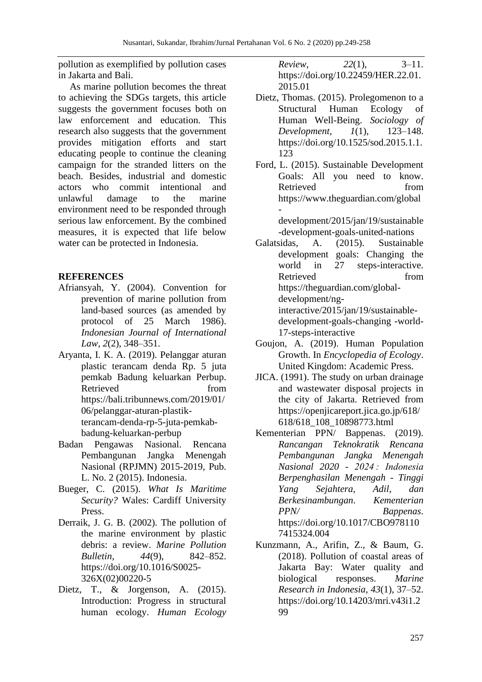pollution as exemplified by pollution cases in Jakarta and Bali.

As marine pollution becomes the threat to achieving the SDGs targets, this article suggests the government focuses both on law enforcement and education. This research also suggests that the government provides mitigation efforts and start educating people to continue the cleaning campaign for the stranded litters on the beach. Besides, industrial and domestic actors who commit intentional and unlawful damage to the marine environment need to be responded through serious law enforcement. By the combined measures, it is expected that life below water can be protected in Indonesia.

### **REFERENCES**

- Afriansyah, Y. (2004). Convention for prevention of marine pollution from land-based sources (as amended by protocol of 25 March 1986). *Indonesian Journal of International Law*, *2*(2), 348–351.
- Aryanta, I. K. A. (2019). Pelanggar aturan plastic terancam denda Rp. 5 juta pemkab Badung keluarkan Perbup. Retrieved from https://bali.tribunnews.com/2019/01/ 06/pelanggar-aturan-plastikterancam-denda-rp-5-juta-pemkabbadung-keluarkan-perbup
- Badan Pengawas Nasional. Rencana Pembangunan Jangka Menengah Nasional (RPJMN) 2015-2019, Pub. L. No. 2 (2015). Indonesia.
- Bueger, C. (2015). *What Is Maritime Security?* Wales: Cardiff University Press.
- Derraik, J. G. B. (2002). The pollution of the marine environment by plastic debris: a review. *Marine Pollution Bulletin*, *44*(9), 842–852. https://doi.org/10.1016/S0025- 326X(02)00220-5
- Dietz, T., & Jorgenson, A. (2015). Introduction: Progress in structural human ecology. *Human Ecology*

*Review*, *22*(1), 3–11. https://doi.org/10.22459/HER.22.01. 2015.01

- Dietz, Thomas. (2015). Prolegomenon to a Structural Human Ecology of Human Well-Being. *Sociology of Development*, *1*(1), 123–148. https://doi.org/10.1525/sod.2015.1.1. 123
- Ford, L. (2015). Sustainable Development Goals: All you need to know. Retrieved from https://www.theguardian.com/global -

development/2015/jan/19/sustainable -development-goals-united-nations

Galatsidas, A. (2015). Sustainable development goals: Changing the world in 27 steps-interactive. Retrieved from https://theguardian.com/globaldevelopment/nginteractive/2015/jan/19/sustainabledevelopment-goals-changing -world-17-steps-interactive

- Goujon, A. (2019). Human Population Growth. In *Encyclopedia of Ecology*. United Kingdom: Academic Press.
- JICA. (1991). The study on urban drainage and wastewater disposal projects in the city of Jakarta. Retrieved from https://openjicareport.jica.go.jp/618/ 618/618\_108\_10898773.html
- Kementerian PPN/ Bappenas. (2019). *Rancangan Teknokratik Rencana Pembangunan Jangka Menengah Nasional 2020 - 2024 : Indonesia Berpenghasilan Menengah - Tinggi Yang Sejahtera, Adil, dan Berkesinambungan*. *Kementerian PPN/ Bappenas*. https://doi.org/10.1017/CBO978110 7415324.004
- Kunzmann, A., Arifin, Z., & Baum, G. (2018). Pollution of coastal areas of Jakarta Bay: Water quality and biological responses. *Marine Research in Indonesia*, *43*(1), 37–52. https://doi.org/10.14203/mri.v43i1.2 99